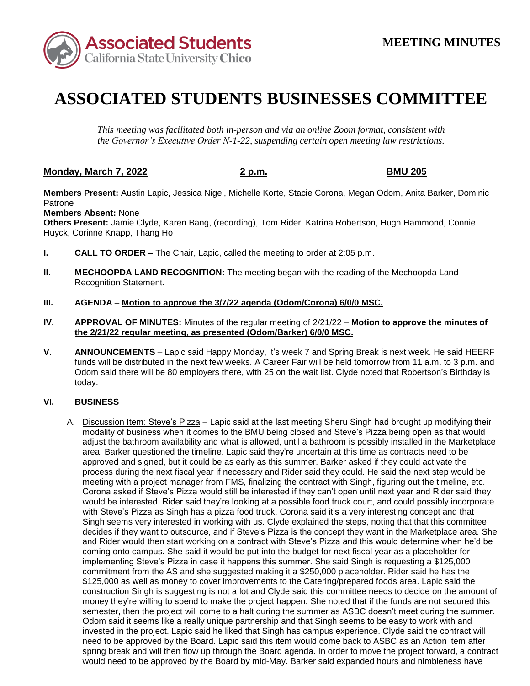

# **ASSOCIATED STUDENTS BUSINESSES COMMITTEE**

*This meeting was facilitated both in-person and via an online Zoom format, consistent with the Governor's Executive Order N-1-22, suspending certain open meeting law restrictions.* 

## **Monday, March 7, 2022 2 p.m. BMU 205**

**Members Present:** Austin Lapic, Jessica Nigel, Michelle Korte, Stacie Corona, Megan Odom, Anita Barker, Dominic Patrone

### **Members Absent:** None

**Others Present:** Jamie Clyde, Karen Bang, (recording), Tom Rider, Katrina Robertson, Hugh Hammond, Connie Huyck, Corinne Knapp, Thang Ho

- **I. CALL TO ORDER –** The Chair, Lapic, called the meeting to order at 2:05 p.m.
- **II. MECHOOPDA LAND RECOGNITION:** The meeting began with the reading of the Mechoopda Land Recognition Statement.
- **III. AGENDA Motion to approve the 3/7/22 agenda (Odom/Corona) 6/0/0 MSC.**
- **IV. APPROVAL OF MINUTES:** Minutes of the regular meeting of 2/21/22 **Motion to approve the minutes of the 2/21/22 regular meeting, as presented (Odom/Barker) 6/0/0 MSC.**
- **V. ANNOUNCEMENTS**  Lapic said Happy Monday, it's week 7 and Spring Break is next week. He said HEERF funds will be distributed in the next few weeks. A Career Fair will be held tomorrow from 11 a.m. to 3 p.m. and Odom said there will be 80 employers there, with 25 on the wait list. Clyde noted that Robertson's Birthday is today.

### **VI. BUSINESS**

 modality of business when it comes to the BMU being closed and Steve's Pizza being open as that would adjust the bathroom availability and what is allowed, until a bathroom is possibly installed in the Marketplace meeting with a project manager from FMS, finalizing the contract with Singh, figuring out the timeline, etc. with Steve's Pizza as Singh has a pizza food truck. Corona said it's a very interesting concept and that Singh seems very interested in working with us. Clyde explained the steps, noting that that this committee need to be approved by the Board. Lapic said this item would come back to ASBC as an Action item after spring break and will then flow up through the Board agenda. In order to move the project forward, a contract would need to be approved by the Board by mid-May. Barker said expanded hours and nimbleness have A. Discussion Item: Steve's Pizza – Lapic said at the last meeting Sheru Singh had brought up modifying their area. Barker questioned the timeline. Lapic said they're uncertain at this time as contracts need to be approved and signed, but it could be as early as this summer. Barker asked if they could activate the process during the next fiscal year if necessary and Rider said they could. He said the next step would be Corona asked if Steve's Pizza would still be interested if they can't open until next year and Rider said they would be interested. Rider said they're looking at a possible food truck court, and could possibly incorporate decides if they want to outsource, and if Steve's Pizza is the concept they want in the Marketplace area. She and Rider would then start working on a contract with Steve's Pizza and this would determine when he'd be coming onto campus. She said it would be put into the budget for next fiscal year as a placeholder for implementing Steve's Pizza in case it happens this summer. She said Singh is requesting a \$125,000 commitment from the AS and she suggested making it a \$250,000 placeholder. Rider said he has the \$125,000 as well as money to cover improvements to the Catering/prepared foods area. Lapic said the construction Singh is suggesting is not a lot and Clyde said this committee needs to decide on the amount of money they're willing to spend to make the project happen. She noted that if the funds are not secured this semester, then the project will come to a halt during the summer as ASBC doesn't meet during the summer. Odom said it seems like a really unique partnership and that Singh seems to be easy to work with and invested in the project. Lapic said he liked that Singh has campus experience. Clyde said the contract will